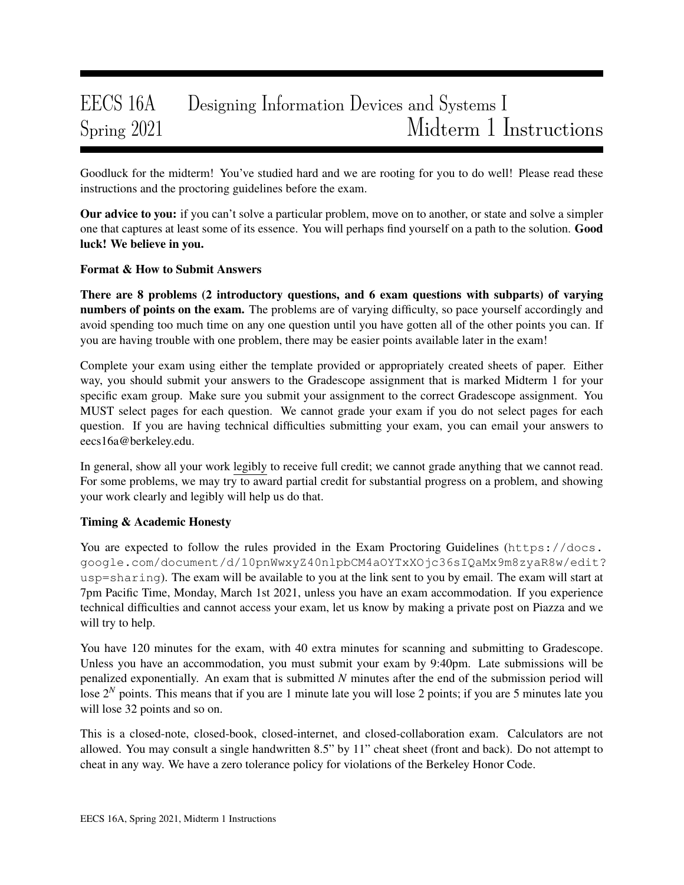# EECS 16A Designing Information Devices and Systems I Spring 2021 Midterm 1 Instructions

Goodluck for the midterm! You've studied hard and we are rooting for you to do well! Please read these instructions and the proctoring guidelines before the exam.

Our advice to you: if you can't solve a particular problem, move on to another, or state and solve a simpler one that captures at least some of its essence. You will perhaps find yourself on a path to the solution. Good luck! We believe in you.

## Format & How to Submit Answers

There are 8 problems (2 introductory questions, and 6 exam questions with subparts) of varying numbers of points on the exam. The problems are of varying difficulty, so pace yourself accordingly and avoid spending too much time on any one question until you have gotten all of the other points you can. If you are having trouble with one problem, there may be easier points available later in the exam!

Complete your exam using either the template provided or appropriately created sheets of paper. Either way, you should submit your answers to the Gradescope assignment that is marked Midterm 1 for your specific exam group. Make sure you submit your assignment to the correct Gradescope assignment. You MUST select pages for each question. We cannot grade your exam if you do not select pages for each question. If you are having technical difficulties submitting your exam, you can email your answers to eecs16a@berkeley.edu.

In general, show all your work legibly to receive full credit; we cannot grade anything that we cannot read. For some problems, we may try to award partial credit for substantial progress on a problem, and showing your work clearly and legibly will help us do that.

## Timing & Academic Honesty

You are expected to follow the rules provided in the Exam Proctoring Guidelines (https://docs. google.com/document/d/10pnWwxyZ40nlpbCM4aOYTxXOjc36sIQaMx9m8zyaR8w/edit? usp=sharing). The exam will be available to you at the link sent to you by email. The exam will start at 7pm Pacific Time, Monday, March 1st 2021, unless you have an exam accommodation. If you experience technical difficulties and cannot access your exam, let us know by making a private post on Piazza and we will try to help.

You have 120 minutes for the exam, with 40 extra minutes for scanning and submitting to Gradescope. Unless you have an accommodation, you must submit your exam by 9:40pm. Late submissions will be penalized exponentially. An exam that is submitted *N* minutes after the end of the submission period will lose 2<sup>*N*</sup> points. This means that if you are 1 minute late you will lose 2 points; if you are 5 minutes late you will lose 32 points and so on.

This is a closed-note, closed-book, closed-internet, and closed-collaboration exam. Calculators are not allowed. You may consult a single handwritten 8.5" by 11" cheat sheet (front and back). Do not attempt to cheat in any way. We have a zero tolerance policy for violations of the Berkeley Honor Code.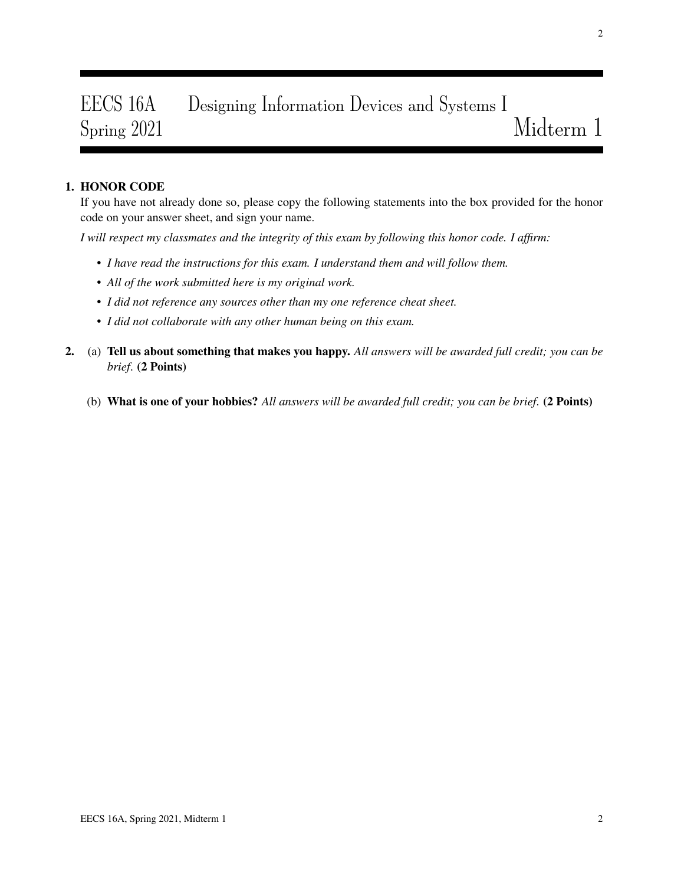# EECS 16A Designing Information Devices and Systems I Spring 2021 Midterm 1

# 1. HONOR CODE

If you have not already done so, please copy the following statements into the box provided for the honor code on your answer sheet, and sign your name.

*I will respect my classmates and the integrity of this exam by following this honor code. I affirm:*

- *I have read the instructions for this exam. I understand them and will follow them.*
- *All of the work submitted here is my original work.*
- *I did not reference any sources other than my one reference cheat sheet.*
- *I did not collaborate with any other human being on this exam.*
- 2. (a) Tell us about something that makes you happy. *All answers will be awarded full credit; you can be brief*. (2 Points)
	- (b) What is one of your hobbies? *All answers will be awarded full credit; you can be brief*. (2 Points)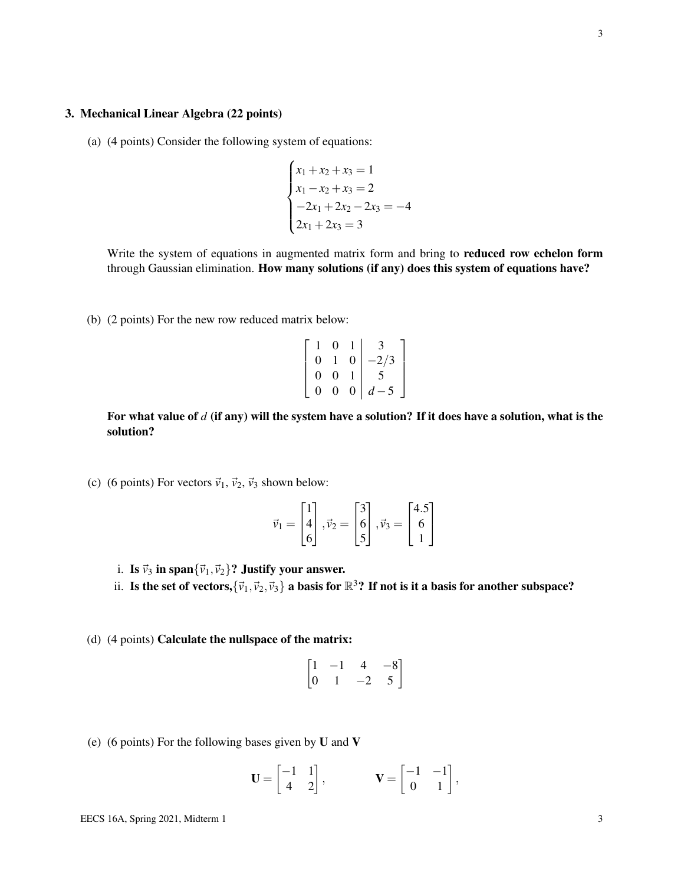### 3. Mechanical Linear Algebra (22 points)

(a) (4 points) Consider the following system of equations:

$$
\begin{cases}\nx_1 + x_2 + x_3 = 1 \\
x_1 - x_2 + x_3 = 2 \\
-2x_1 + 2x_2 - 2x_3 = -4 \\
2x_1 + 2x_3 = 3\n\end{cases}
$$

Write the system of equations in augmented matrix form and bring to reduced row echelon form through Gaussian elimination. How many solutions (if any) does this system of equations have?

(b) (2 points) For the new row reduced matrix below:

$$
\left[\begin{array}{ccc|c}\n1 & 0 & 1 & 3 \\
0 & 1 & 0 & -2/3 \\
0 & 0 & 1 & 5 \\
0 & 0 & 0 & d-5\n\end{array}\right]
$$

For what value of *d* (if any) will the system have a solution? If it does have a solution, what is the solution?

(c) (6 points) For vectors  $\vec{v}_1$ ,  $\vec{v}_2$ ,  $\vec{v}_3$  shown below:

$$
\vec{v}_1 = \begin{bmatrix} 1 \\ 4 \\ 6 \end{bmatrix}, \vec{v}_2 = \begin{bmatrix} 3 \\ 6 \\ 5 \end{bmatrix}, \vec{v}_3 = \begin{bmatrix} 4.5 \\ 6 \\ 1 \end{bmatrix}
$$

- i. Is  $\vec{v}_3$  in span ${\{\vec{v}_1,\vec{v}_2\}}$ ? Justify your answer.
- ii. Is the set of vectors,  $\{\vec{v}_1,\vec{v}_2,\vec{v}_3\}$  a basis for  $\mathbb{R}^3$ ? If not is it a basis for another subspace?
- (d) (4 points) Calculate the nullspace of the matrix:

$$
\begin{bmatrix} 1 & -1 & 4 & -8 \ 0 & 1 & -2 & 5 \end{bmatrix}
$$

(e) (6 points) For the following bases given by  $U$  and  $V$ 

$$
\mathbf{U} = \begin{bmatrix} -1 & 1 \\ 4 & 2 \end{bmatrix}, \qquad \qquad \mathbf{V} = \begin{bmatrix} -1 & -1 \\ 0 & 1 \end{bmatrix},
$$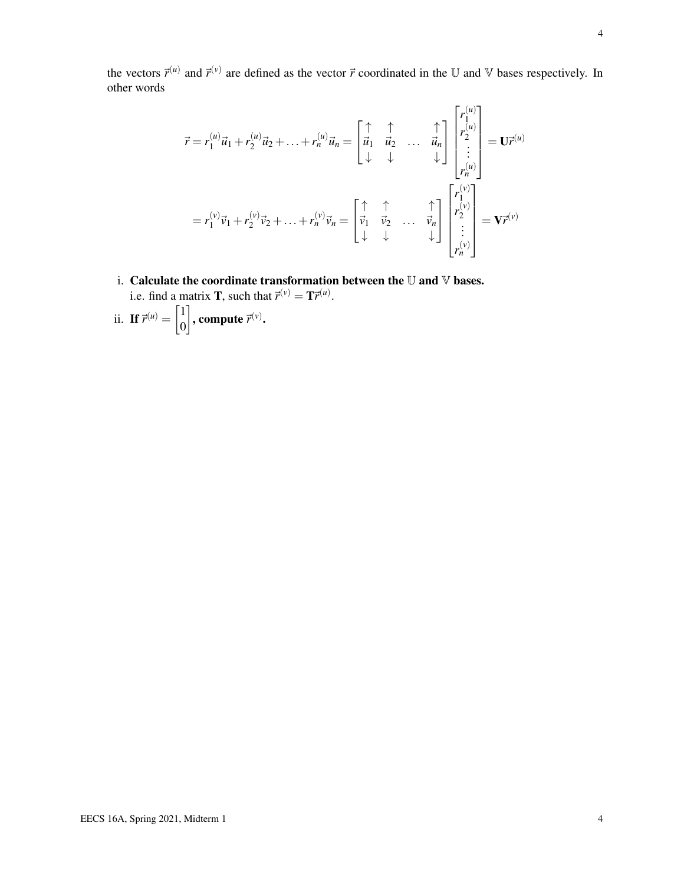the vectors  $\vec{r}^{(u)}$  and  $\vec{r}^{(v)}$  are defined as the vector  $\vec{r}$  coordinated in the U and V bases respectively. In other words

$$
\vec{r} = r_1^{(u)} \vec{u}_1 + r_2^{(u)} \vec{u}_2 + \dots + r_n^{(u)} \vec{u}_n = \begin{bmatrix} \uparrow & \uparrow & & \uparrow \\ \vec{u}_1 & \vec{u}_2 & \dots & \vec{u}_n \\ \downarrow & \downarrow & & \downarrow \end{bmatrix} \begin{bmatrix} r_1^{(u)} \\ r_2^{(u)} \\ \vdots \\ r_n^{(u)} \end{bmatrix} = \mathbf{U} \vec{r}^{(u)}
$$

$$
= r_1^{(v)} \vec{v}_1 + r_2^{(v)} \vec{v}_2 + \dots + r_n^{(v)} \vec{v}_n = \begin{bmatrix} \uparrow & \uparrow & & \uparrow \\ \vec{v}_1 & \vec{v}_2 & \dots & \vec{v}_n \\ \downarrow & \downarrow & & \downarrow \end{bmatrix} \begin{bmatrix} r_1^{(v)} \\ r_2^{(v)} \\ \vdots \\ r_n^{(v)} \end{bmatrix} = \mathbf{V} \vec{r}^{(v)}
$$

- i. Calculate the coordinate transformation between the  $\mathbb U$  and  $\mathbb V$  bases. i.e. find a matrix **T**, such that  $\vec{r}^{(v)} = \mathbf{T}\vec{r}^{(u)}$ .
- ii. If  $\vec{r}^{(u)} = \begin{bmatrix} 1 \\ 0 \end{bmatrix}$ 0  $\Big]$ , compute  $\vec{r}^{(v)}$ .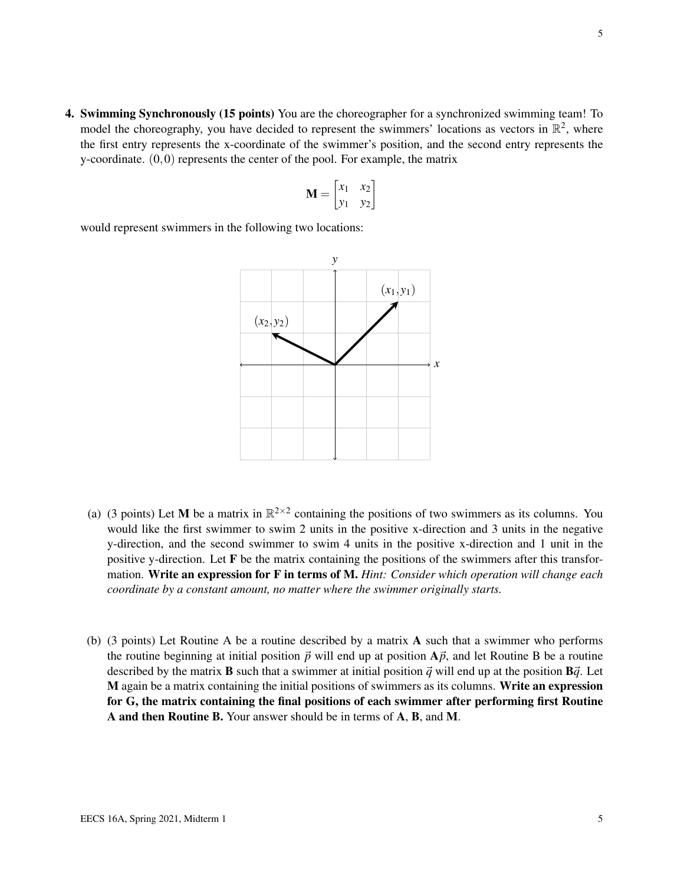4. Swimming Synchronously (15 points) You are the choreographer for a synchronized swimming team! To model the choreography, you have decided to represent the swimmers' locations as vectors in  $\mathbb{R}^2$ , where the first entry represents the x-coordinate of the swimmer's position, and the second entry represents the y-coordinate.  $(0,0)$  represents the center of the pool. For example, the matrix

$$
\mathbf{M} = \begin{bmatrix} x_1 & x_2 \\ y_1 & y_2 \end{bmatrix}
$$

would represent swimmers in the following two locations:



- (a) (3 points) Let M be a matrix in  $\mathbb{R}^{2\times 2}$  containing the positions of two swimmers as its columns. You would like the first swimmer to swim 2 units in the positive x-direction and 3 units in the negative y-direction, and the second swimmer to swim 4 units in the positive x-direction and 1 unit in the positive y-direction. Let F be the matrix containing the positions of the swimmers after this transformation. Write an expression for F in terms of M. *Hint: Consider which operation will change each coordinate by a constant amount, no matter where the swimmer originally starts.*
- (b) (3 points) Let Routine A be a routine described by a matrix A such that a swimmer who performs the routine beginning at initial position  $\vec{p}$  will end up at position  $\vec{A}\vec{p}$ , and let Routine B be a routine described by the matrix **B** such that a swimmer at initial position  $\vec{q}$  will end up at the position  $\vec{B}\vec{q}$ . Let M again be a matrix containing the initial positions of swimmers as its columns. Write an expression for G, the matrix containing the final positions of each swimmer after performing first Routine A and then Routine B. Your answer should be in terms of A, B, and M.

5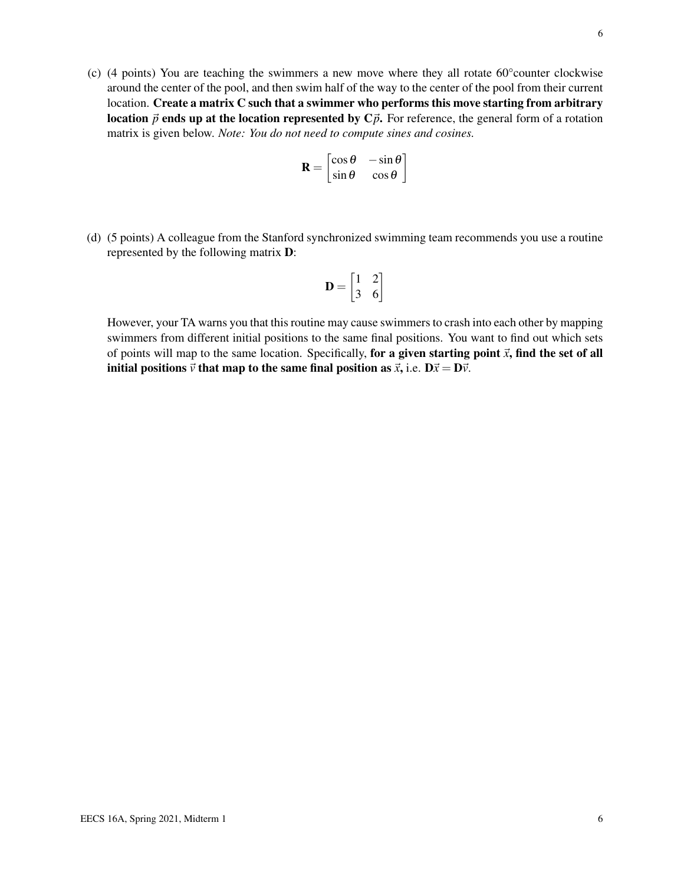(c) (4 points) You are teaching the swimmers a new move where they all rotate 60°counter clockwise around the center of the pool, and then swim half of the way to the center of the pool from their current location. Create a matrix C such that a swimmer who performs this move starting from arbitrary **location**  $\vec{p}$  ends up at the location represented by  $C\vec{p}$ . For reference, the general form of a rotation matrix is given below. *Note: You do not need to compute sines and cosines.*

$$
\mathbf{R} = \begin{bmatrix} \cos \theta & -\sin \theta \\ \sin \theta & \cos \theta \end{bmatrix}
$$

(d) (5 points) A colleague from the Stanford synchronized swimming team recommends you use a routine represented by the following matrix D:

$$
\mathbf{D} = \begin{bmatrix} 1 & 2 \\ 3 & 6 \end{bmatrix}
$$

However, your TA warns you that this routine may cause swimmers to crash into each other by mapping swimmers from different initial positions to the same final positions. You want to find out which sets of points will map to the same location. Specifically, for a given starting point  $\vec{x}$ , find the set of all initial positions  $\vec{v}$  that map to the same final position as  $\vec{x}$ , i.e.  $D\vec{x} = D\vec{v}$ .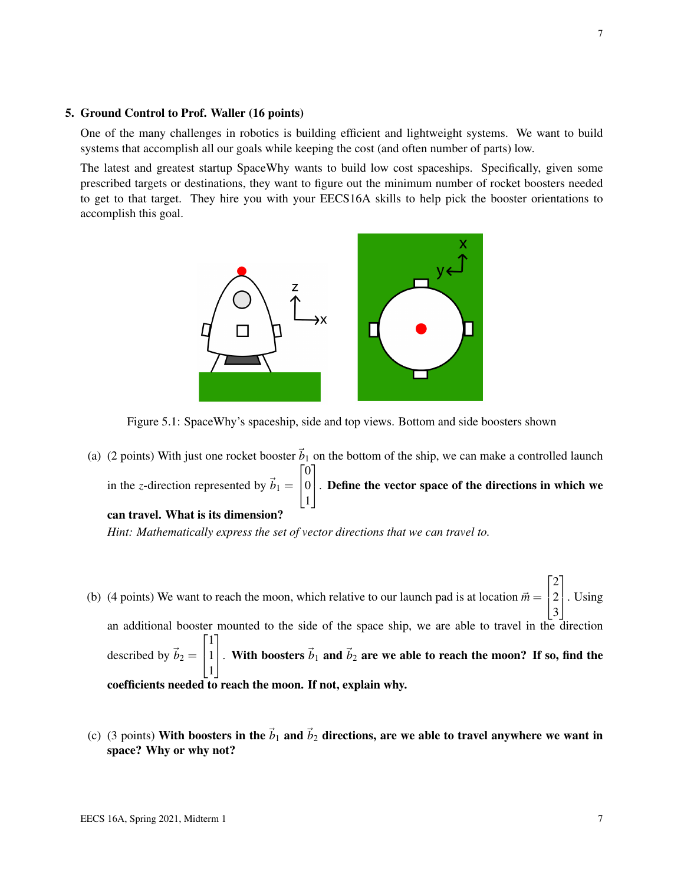#### 5. Ground Control to Prof. Waller (16 points)

One of the many challenges in robotics is building efficient and lightweight systems. We want to build systems that accomplish all our goals while keeping the cost (and often number of parts) low.

The latest and greatest startup SpaceWhy wants to build low cost spaceships. Specifically, given some prescribed targets or destinations, they want to figure out the minimum number of rocket boosters needed to get to that target. They hire you with your EECS16A skills to help pick the booster orientations to accomplish this goal.



Figure 5.1: SpaceWhy's spaceship, side and top views. Bottom and side boosters shown

(a) (2 points) With just one rocket booster  $\vec{b}_1$  on the bottom of the ship, we can make a controlled launch in the *z*-direction represented by  $\vec{b}_1 =$  $\sqrt{ }$  $\overline{1}$  $\overline{0}$ 0 1 1 . Define the vector space of the directions in which we can travel. What is its dimension?

*Hint: Mathematically express the set of vector directions that we can travel to.*

- (b) (4 points) We want to reach the moon, which relative to our launch pad is at location  $\vec{m} =$  $\sqrt{ }$  $\overline{\phantom{a}}$ 2 2 3 1 . Using an additional booster mounted to the side of the space ship, we are able to travel in the direction described by  $\vec{b}_2 =$  $\sqrt{ }$  $\overline{1}$ 1 1 1 1 . With boosters  $\vec{b}_1$  and  $\vec{b}_2$  are we able to reach the moon? If so, find the coefficients needed to reach the moon. If not, explain why.
- (c) (3 points) With boosters in the  $\vec{b}_1$  and  $\vec{b}_2$  directions, are we able to travel anywhere we want in space? Why or why not?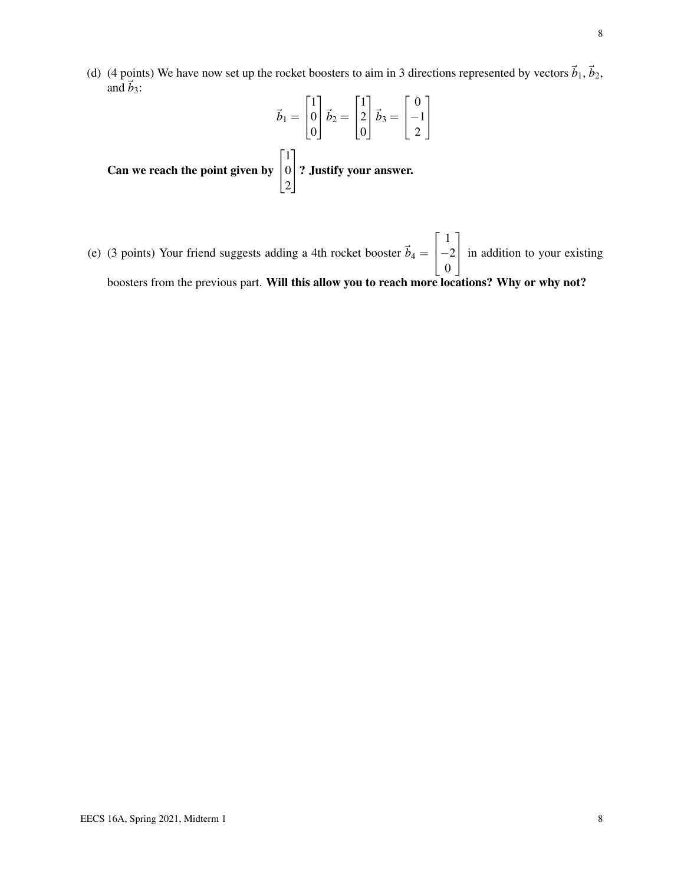(d) (4 points) We have now set up the rocket boosters to aim in 3 directions represented by vectors  $\vec{b}_1$ ,  $\vec{b}_2$ , and  $\vec{b}_3$ :

$$
\vec{b}_1 = \begin{bmatrix} 1 \\ 0 \\ 0 \end{bmatrix} \vec{b}_2 = \begin{bmatrix} 1 \\ 2 \\ 0 \end{bmatrix} \vec{b}_3 = \begin{bmatrix} 0 \\ -1 \\ 2 \end{bmatrix}
$$
  
Can we reach the point given by 
$$
\begin{bmatrix} 1 \\ 0 \\ 2 \end{bmatrix}
$$
? Justify your answer.

2

(e) (3 points) Your friend suggests adding a 4th rocket booster  $\vec{b}_4$  =  $\sqrt{ }$  $\overline{1}$ 1 −2 0 1 in addition to your existing boosters from the previous part. Will this allow you to reach more locations? Why or why not?

8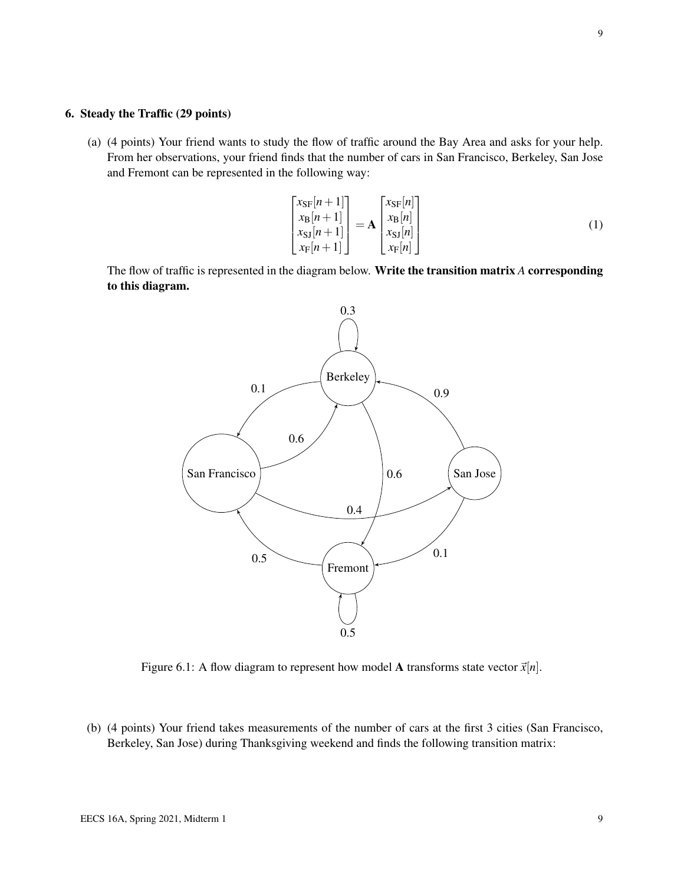### 6. Steady the Traffic (29 points)

(a) (4 points) Your friend wants to study the flow of traffic around the Bay Area and asks for your help. From her observations, your friend finds that the number of cars in San Francisco, Berkeley, San Jose and Fremont can be represented in the following way:

$$
\begin{bmatrix}\n x_{\rm SF}[n+1] \\
 x_{\rm B}[n+1] \\
 x_{\rm SI}[n+1] \\
 x_{\rm F}[n+1]\n\end{bmatrix} = \mathbf{A} \begin{bmatrix}\n x_{\rm SF}[n] \\
 x_{\rm B}[n] \\
 x_{\rm SI}[n] \\
 x_{\rm F}[n]\n\end{bmatrix}
$$
\n(1)

The flow of traffic is represented in the diagram below. Write the transition matrix *A* corresponding to this diagram.



Figure 6.1: A flow diagram to represent how model **A** transforms state vector  $\vec{x}[n]$ .

(b) (4 points) Your friend takes measurements of the number of cars at the first 3 cities (San Francisco, Berkeley, San Jose) during Thanksgiving weekend and finds the following transition matrix: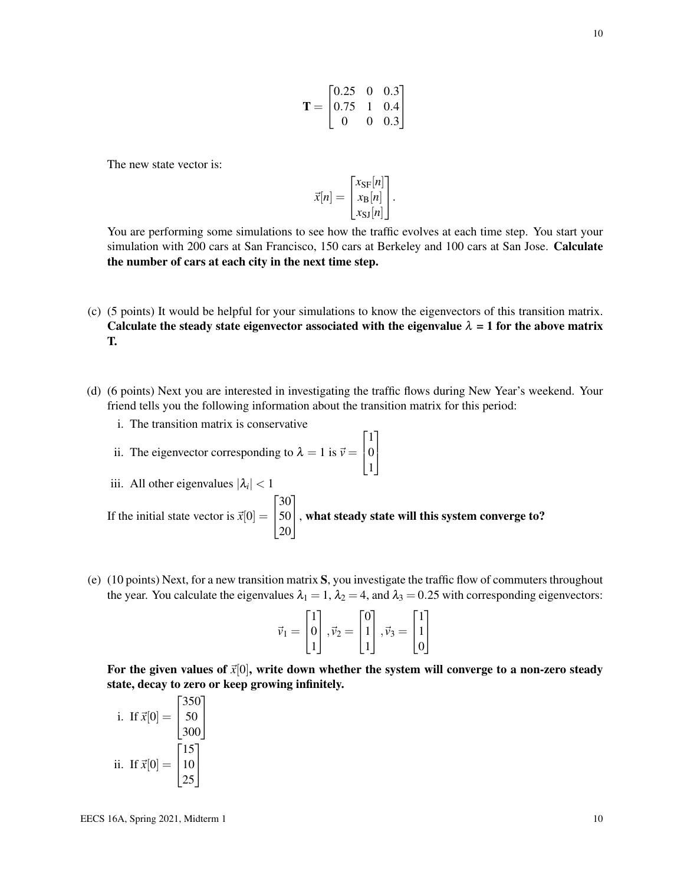The new state vector is:

$$
\vec{x}[n] = \begin{bmatrix} x_{\text{SF}}[n] \\ x_{\text{B}}[n] \\ x_{\text{SJ}}[n] \end{bmatrix}.
$$

You are performing some simulations to see how the traffic evolves at each time step. You start your simulation with 200 cars at San Francisco, 150 cars at Berkeley and 100 cars at San Jose. Calculate the number of cars at each city in the next time step.

- (c) (5 points) It would be helpful for your simulations to know the eigenvectors of this transition matrix. Calculate the steady state eigenvector associated with the eigenvalue  $\lambda = 1$  for the above matrix T.
- (d) (6 points) Next you are interested in investigating the traffic flows during New Year's weekend. Your friend tells you the following information about the transition matrix for this period:

1 0 1

1  $\mathbf{I}$ 

- i. The transition matrix is conservative
- ii. The eigenvector corresponding to  $\lambda = 1$  is  $\vec{v} =$  $\sqrt{ }$  $\overline{1}$

iii. All other eigenvalues  $|\lambda_i| < 1$ If the initial state vector is  $\vec{x}[0] =$  $\lceil$  $\frac{1}{2}$ 30 50 20 1 , what steady state will this system converge to?

(e) (10 points) Next, for a new transition matrix S, you investigate the traffic flow of commuters throughout the year. You calculate the eigenvalues  $\lambda_1 = 1$ ,  $\lambda_2 = 4$ , and  $\lambda_3 = 0.25$  with corresponding eigenvectors:

$$
\vec{v}_1 = \begin{bmatrix} 1 \\ 0 \\ 1 \end{bmatrix}, \vec{v}_2 = \begin{bmatrix} 0 \\ 1 \\ 1 \end{bmatrix}, \vec{v}_3 = \begin{bmatrix} 1 \\ 1 \\ 0 \end{bmatrix}
$$

For the given values of  $\vec{x}[0]$ , write down whether the system will converge to a non-zero steady state, decay to zero or keep growing infinitely.

i. If 
$$
\vec{x}[0] = \begin{bmatrix} 350 \\ 50 \\ 300 \end{bmatrix}
$$
  
ii. If  $\vec{x}[0] = \begin{bmatrix} 15 \\ 10 \\ 25 \end{bmatrix}$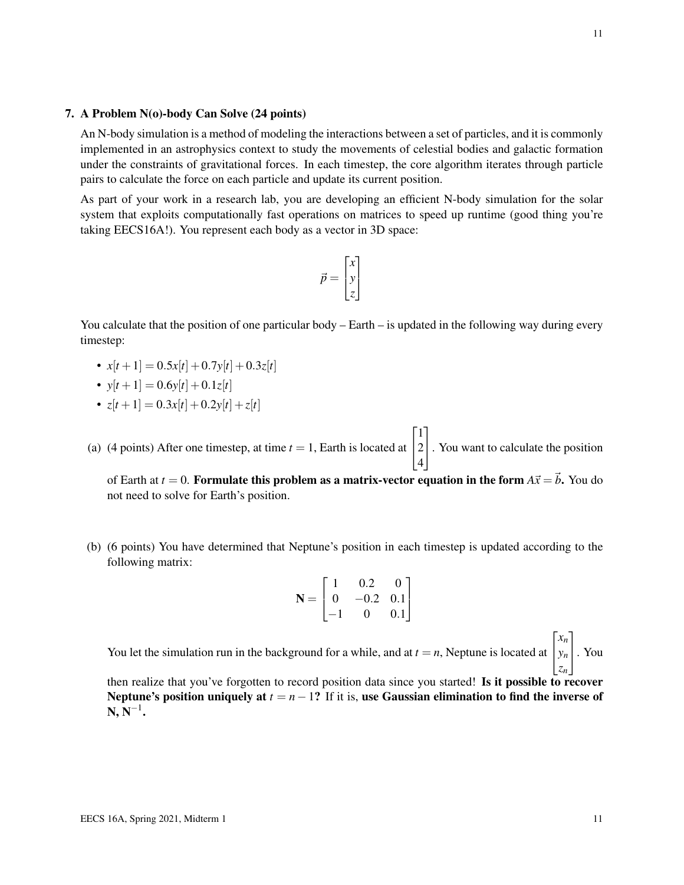#### 7. A Problem N(o)-body Can Solve (24 points)

An N-body simulation is a method of modeling the interactions between a set of particles, and it is commonly implemented in an astrophysics context to study the movements of celestial bodies and galactic formation under the constraints of gravitational forces. In each timestep, the core algorithm iterates through particle pairs to calculate the force on each particle and update its current position.

As part of your work in a research lab, you are developing an efficient N-body simulation for the solar system that exploits computationally fast operations on matrices to speed up runtime (good thing you're taking EECS16A!). You represent each body as a vector in 3D space:

$$
\vec{p} = \begin{bmatrix} x \\ y \\ z \end{bmatrix}
$$

You calculate that the position of one particular body – Earth – is updated in the following way during every timestep:

- $x[t+1] = 0.5x[t]+0.7y[t]+0.3z[t]$
- $y[t+1] = 0.6y[t]+0.1z[t]$
- $z[t+1] = 0.3x[t]+0.2y[t]+z[t]$
- (a) (4 points) After one timestep, at time  $t = 1$ , Earth is located at  $\sqrt{ }$  $\overline{1}$ 1 2 4 1 . You want to calculate the position

of Earth at  $t = 0$ . Formulate this problem as a matrix-vector equation in the form  $A\vec{x} = \vec{b}$ . You do not need to solve for Earth's position.

(b) (6 points) You have determined that Neptune's position in each timestep is updated according to the following matrix:

$$
\mathbf{N} = \begin{bmatrix} 1 & 0.2 & 0 \\ 0 & -0.2 & 0.1 \\ -1 & 0 & 0.1 \end{bmatrix}
$$

You let the simulation run in the background for a while, and at  $t = n$ , Neptune is located at  $\sqrt{ }$  $\mathbf{r}$ *xn yn zn* 1 . You

then realize that you've forgotten to record position data since you started! Is it possible to recover Neptune's position uniquely at  $t = n-1$ ? If it is, use Gaussian elimination to find the inverse of  $\mathbf{N},\mathbf{N}^{-1}.$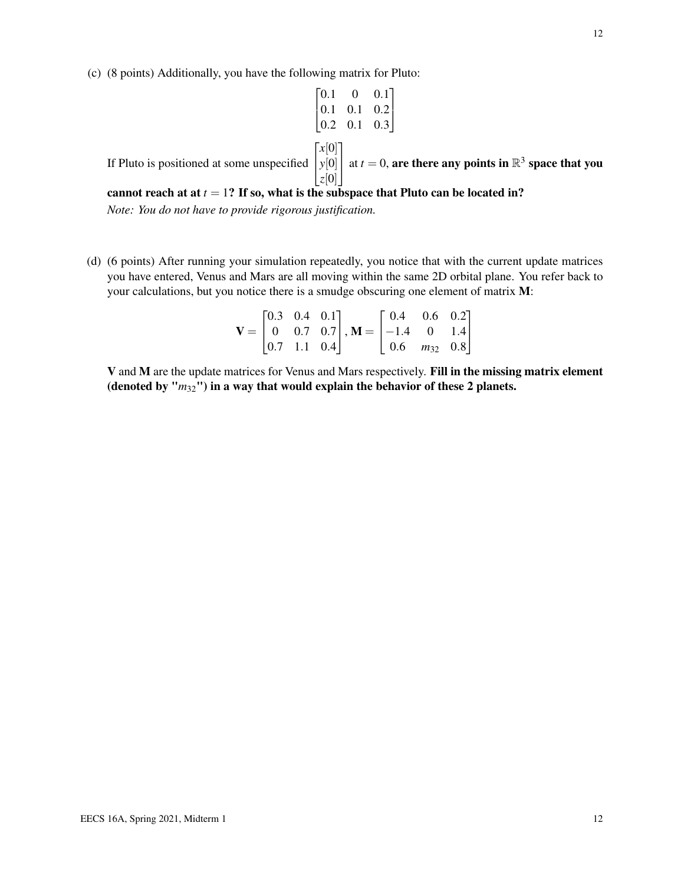$$
\begin{bmatrix} 0.1 & 0 & 0.1 \\ 0.1 & 0.1 & 0.2 \\ 0.2 & 0.1 & 0.3 \end{bmatrix}
$$

$$
\begin{bmatrix} x[0] \\ y[0] \end{bmatrix}
$$
 at  $t = 0$ , a

If Pluto is positioned at some unspecified  $\begin{bmatrix} y[\mathbf{v}] \\ z[0] \end{bmatrix}$ | at *t* = 0, are there any points in  $\mathbb{R}^3$  space that you

#### cannot reach at at  $t = 1$ ? If so, what is the subspace that Pluto can be located in?

*Note: You do not have to provide rigorous justification.*

(d) (6 points) After running your simulation repeatedly, you notice that with the current update matrices you have entered, Venus and Mars are all moving within the same 2D orbital plane. You refer back to your calculations, but you notice there is a smudge obscuring one element of matrix M:

$$
\mathbf{V} = \begin{bmatrix} 0.3 & 0.4 & 0.1 \\ 0 & 0.7 & 0.7 \\ 0.7 & 1.1 & 0.4 \end{bmatrix}, \mathbf{M} = \begin{bmatrix} 0.4 & 0.6 & 0.2 \\ -1.4 & 0 & 1.4 \\ 0.6 & m_{32} & 0.8 \end{bmatrix}
$$

V and M are the update matrices for Venus and Mars respectively. Fill in the missing matrix element (denoted by "*m*32") in a way that would explain the behavior of these 2 planets.